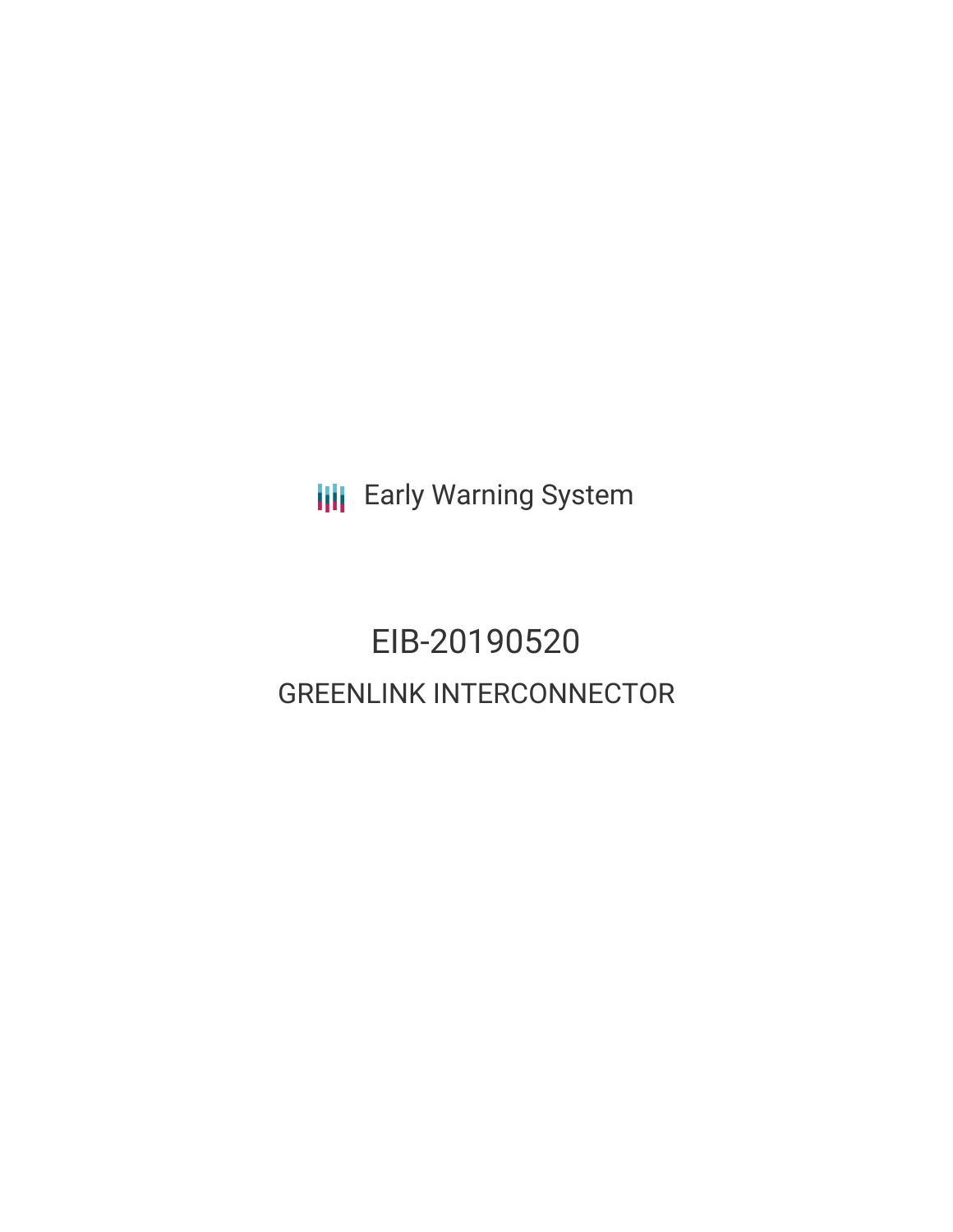**III** Early Warning System

# EIB-20190520 GREENLINK INTERCONNECTOR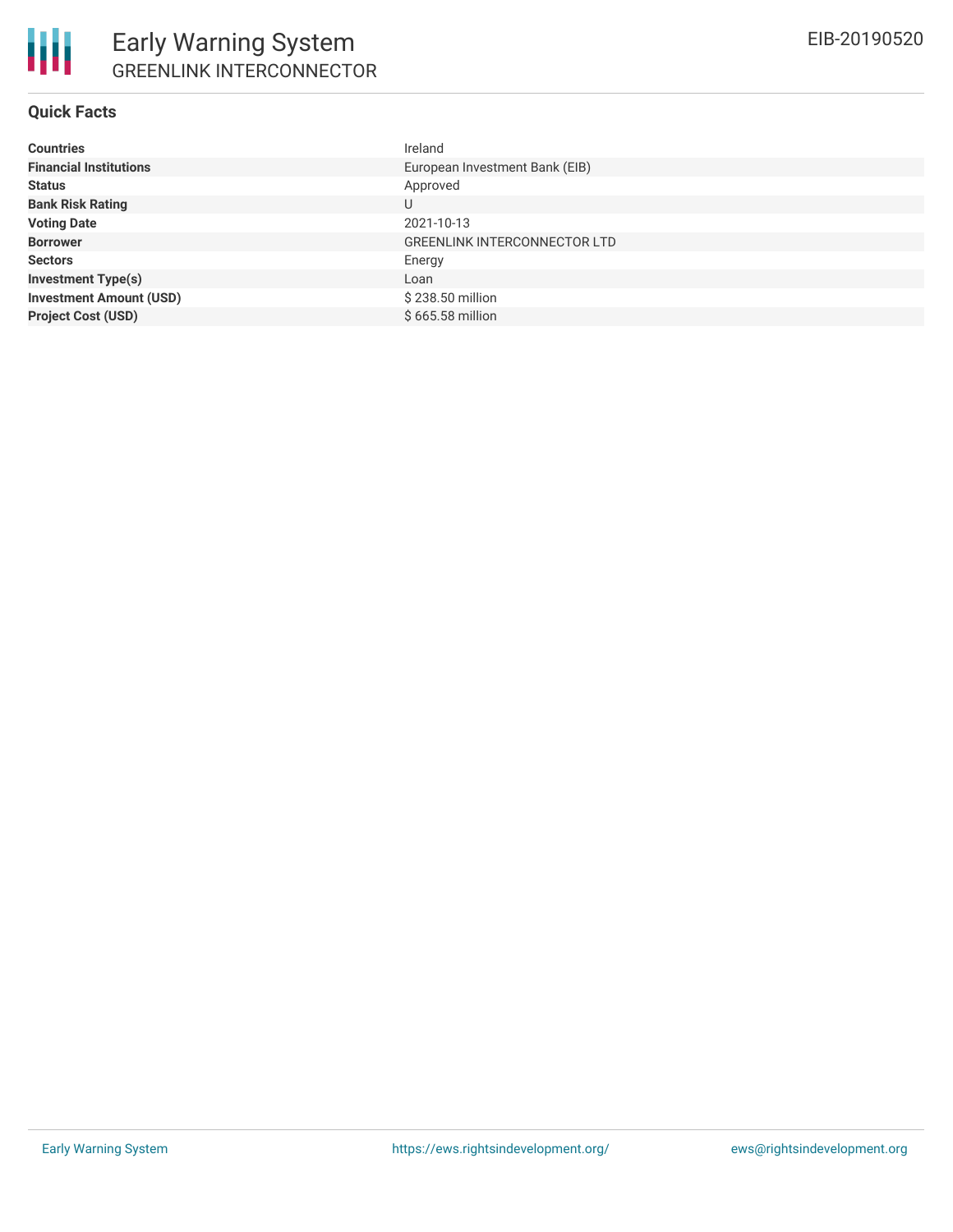### **Quick Facts**

| <b>Countries</b>               | Ireland                             |
|--------------------------------|-------------------------------------|
| <b>Financial Institutions</b>  | European Investment Bank (EIB)      |
| <b>Status</b>                  | Approved                            |
| <b>Bank Risk Rating</b>        | U                                   |
| <b>Voting Date</b>             | 2021-10-13                          |
| <b>Borrower</b>                | <b>GREENLINK INTERCONNECTOR LTD</b> |
| <b>Sectors</b>                 | Energy                              |
| <b>Investment Type(s)</b>      | Loan                                |
| <b>Investment Amount (USD)</b> | \$238.50 million                    |
| <b>Project Cost (USD)</b>      | \$665.58 million                    |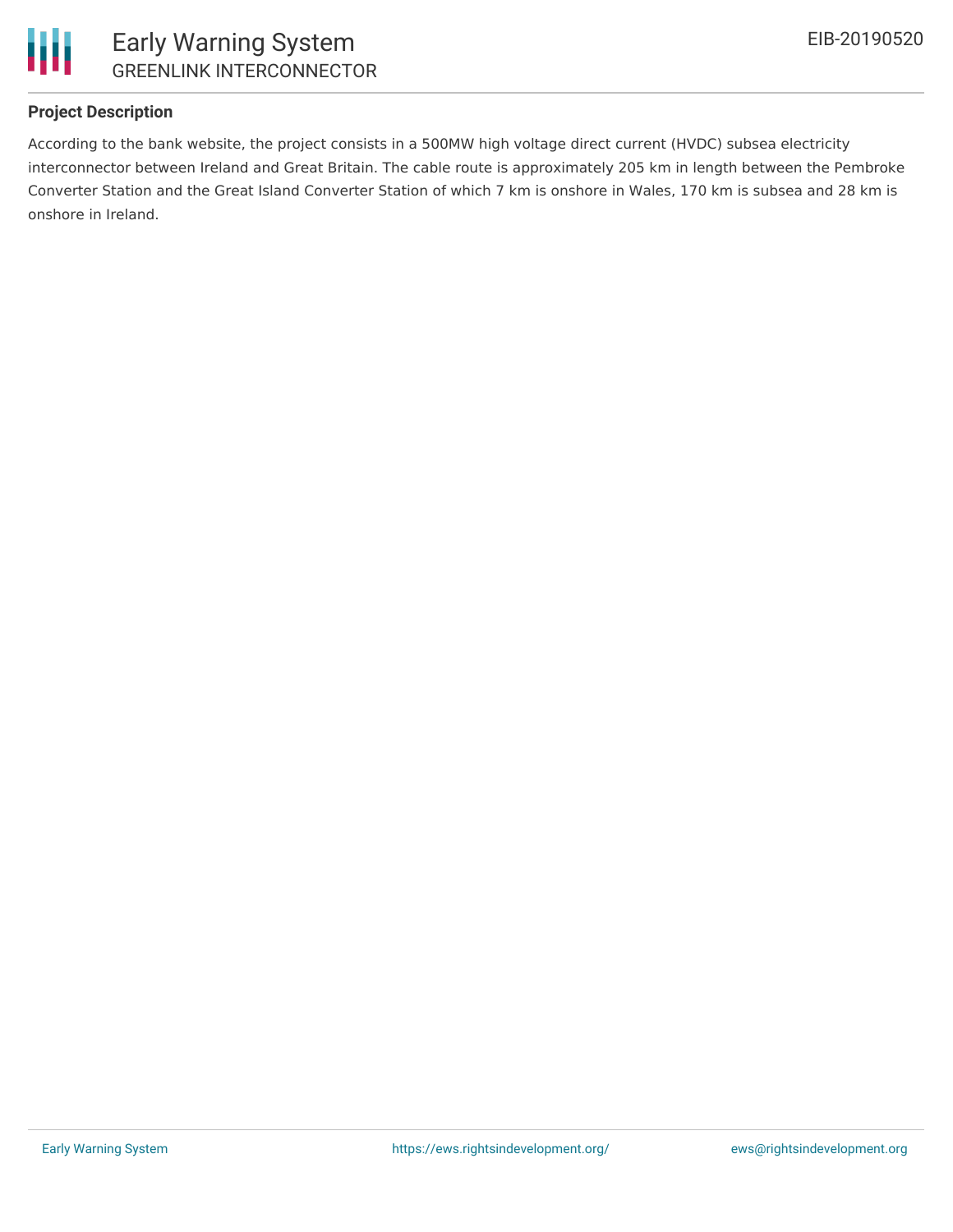

## **Project Description**

According to the bank website, the project consists in a 500MW high voltage direct current (HVDC) subsea electricity interconnector between Ireland and Great Britain. The cable route is approximately 205 km in length between the Pembroke Converter Station and the Great Island Converter Station of which 7 km is onshore in Wales, 170 km is subsea and 28 km is onshore in Ireland.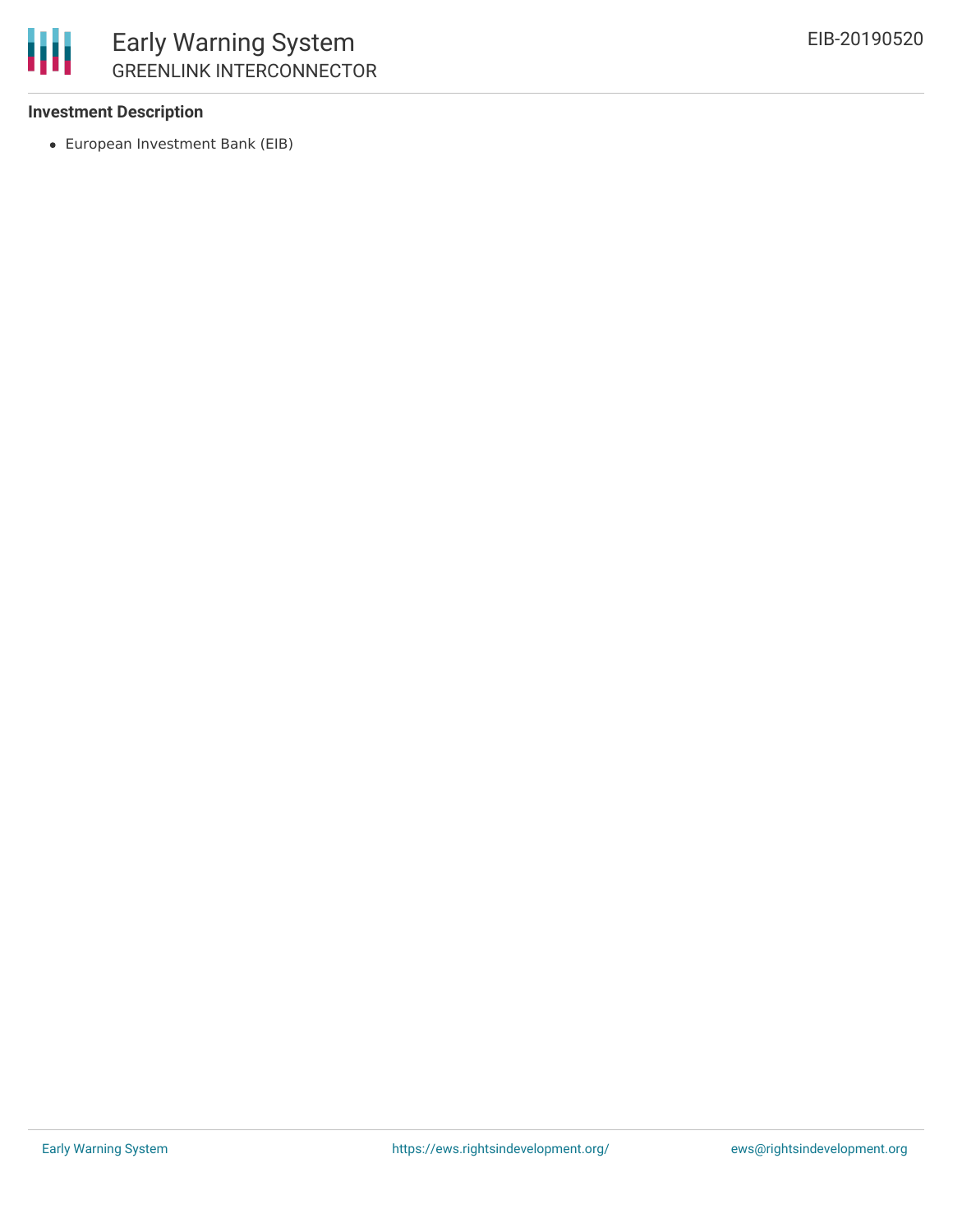

## **Investment Description**

European Investment Bank (EIB)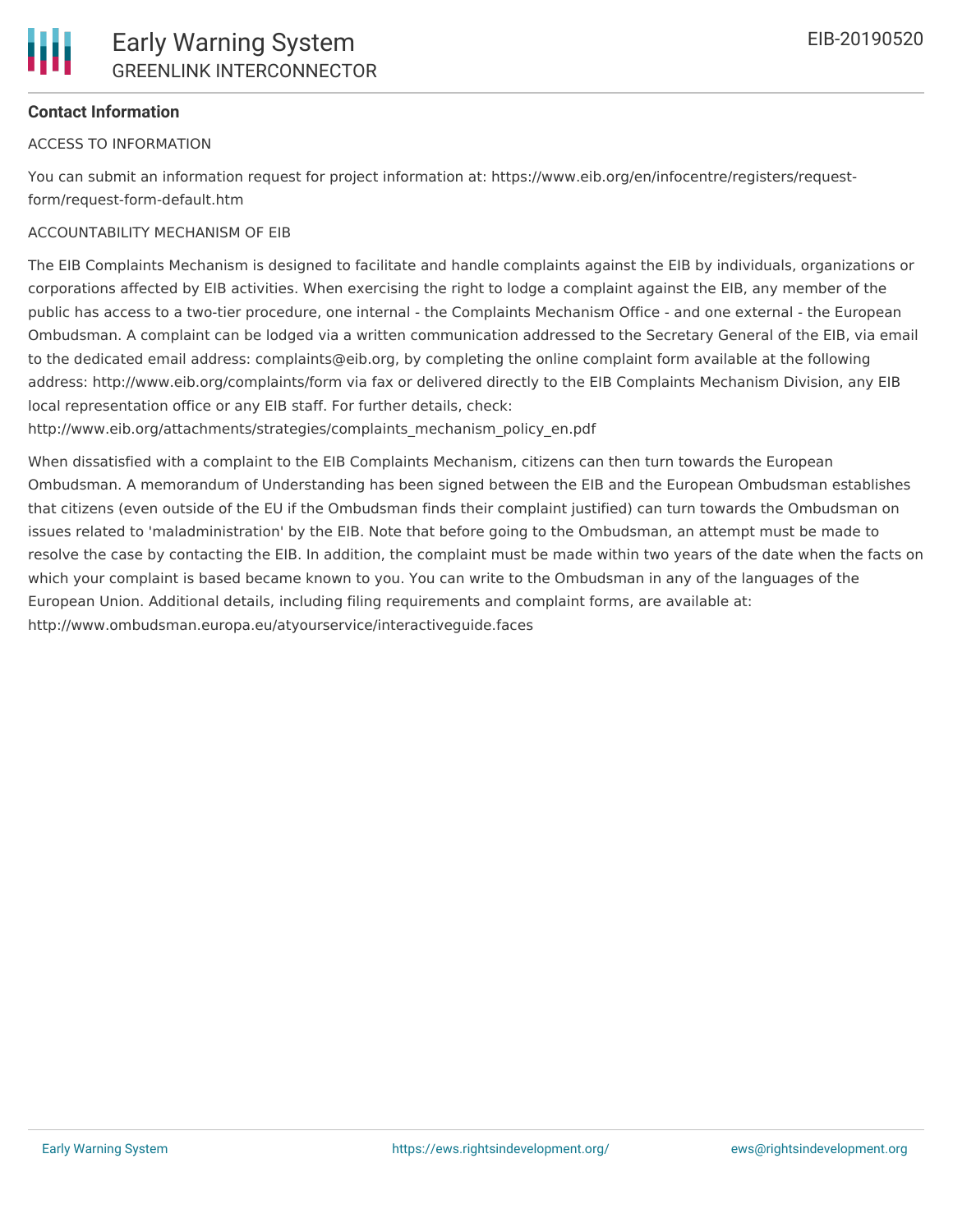## **Contact Information**

## ACCESS TO INFORMATION

You can submit an information request for project information at: https://www.eib.org/en/infocentre/registers/requestform/request-form-default.htm

## ACCOUNTABILITY MECHANISM OF EIB

The EIB Complaints Mechanism is designed to facilitate and handle complaints against the EIB by individuals, organizations or corporations affected by EIB activities. When exercising the right to lodge a complaint against the EIB, any member of the public has access to a two-tier procedure, one internal - the Complaints Mechanism Office - and one external - the European Ombudsman. A complaint can be lodged via a written communication addressed to the Secretary General of the EIB, via email to the dedicated email address: complaints@eib.org, by completing the online complaint form available at the following address: http://www.eib.org/complaints/form via fax or delivered directly to the EIB Complaints Mechanism Division, any EIB local representation office or any EIB staff. For further details, check:

http://www.eib.org/attachments/strategies/complaints\_mechanism\_policy\_en.pdf

When dissatisfied with a complaint to the EIB Complaints Mechanism, citizens can then turn towards the European Ombudsman. A memorandum of Understanding has been signed between the EIB and the European Ombudsman establishes that citizens (even outside of the EU if the Ombudsman finds their complaint justified) can turn towards the Ombudsman on issues related to 'maladministration' by the EIB. Note that before going to the Ombudsman, an attempt must be made to resolve the case by contacting the EIB. In addition, the complaint must be made within two years of the date when the facts on which your complaint is based became known to you. You can write to the Ombudsman in any of the languages of the European Union. Additional details, including filing requirements and complaint forms, are available at: http://www.ombudsman.europa.eu/atyourservice/interactiveguide.faces